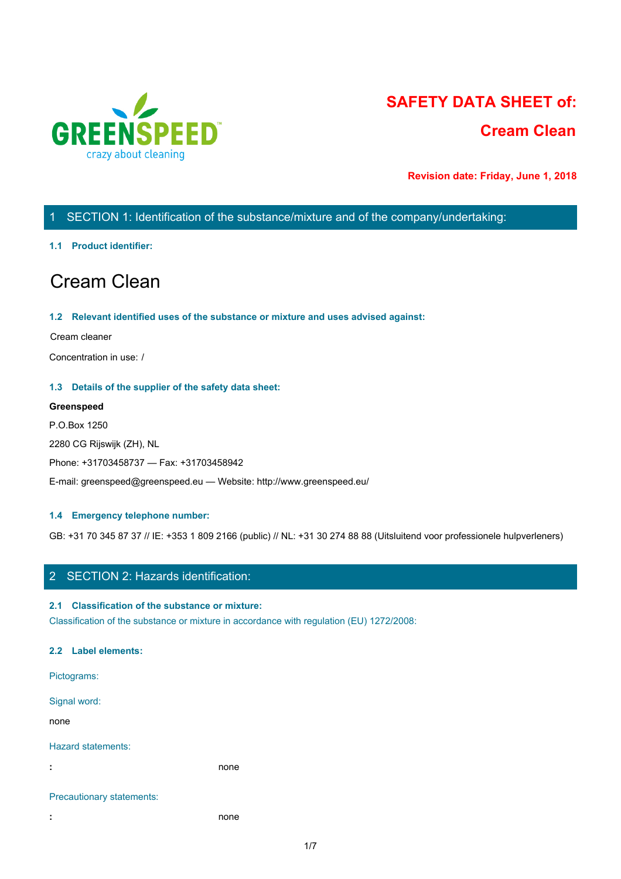

# **SAFETY DATA SHEET of: Cream Clean**

**Revision date: Friday, June 1, 2018**

# 1 SECTION 1: Identification of the substance/mixture and of the company/undertaking:

## **1.1 Product identifier:**

# Cream Clean

## **1.2 Relevant identified uses of the substance or mixture and uses advised against:**

#### Cream cleaner

Concentration in use: /

## **1.3 Details of the supplier of the safety data sheet:**

## **Greenspeed**

P.O.Box 1250 2280 CG Rijswijk (ZH), NL Phone: +31703458737 — Fax: +31703458942 E-mail: greenspeed@greenspeed.eu — Website: http://www.greenspeed.eu/

## **1.4 Emergency telephone number:**

GB: +31 70 345 87 37 // IE: +353 1 809 2166 (public) // NL: +31 30 274 88 88 (Uitsluitend voor professionele hulpverleners)

## 2 SECTION 2: Hazards identification:

## **2.1 Classification of the substance or mixture:**

Classification of the substance or mixture in accordance with regulation (EU) 1272/2008:

## **2.2 Label elements:**

Pictograms: Signal word: none and the state of the state of the state of the state of the state of the state of the state of the state of the state of the state of the state of the state of the state of the state of the state of the state of the s Hazard statements: **:** none Precautionary statements:

**:** none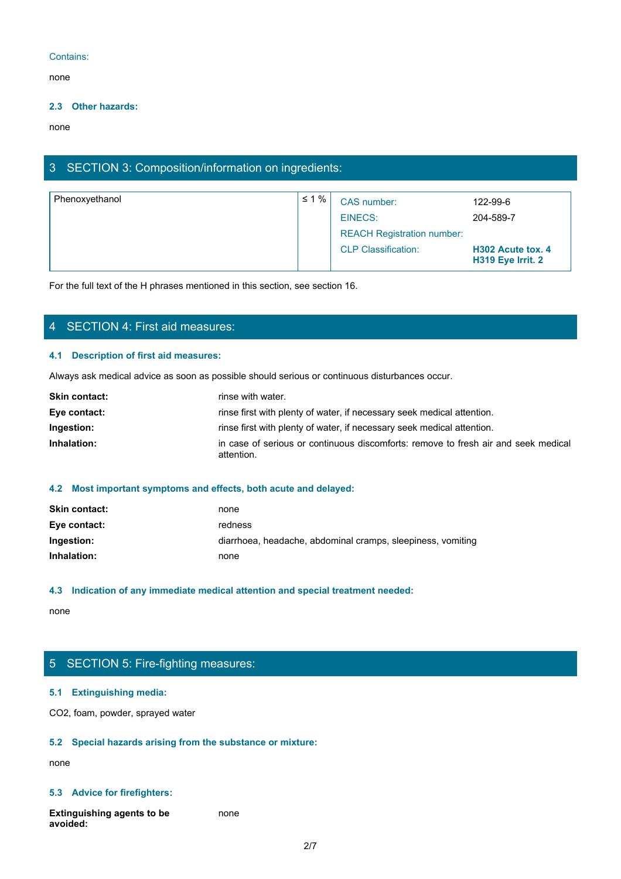## Contains:

none and the state of the state of the state of the state of the state of the state of the state of the state of the state of the state of the state of the state of the state of the state of the state of the state of the s

## **2.3 Other hazards:**

none and the state of the state of the state of the state of the state of the state of the state of the state of the state of the state of the state of the state of the state of the state of the state of the state of the s

## 3 SECTION 3: Composition/information on ingredients:

| Phenoxyethanol | $\leq 1\%$ | CAS number:                       | 122-99-6                               |
|----------------|------------|-----------------------------------|----------------------------------------|
|                |            | EINECS:                           | 204-589-7                              |
|                |            | <b>REACH Registration number:</b> |                                        |
|                |            | <b>CLP Classification:</b>        | H302 Acute tox. 4<br>H319 Eye Irrit. 2 |

For the full text of the H phrases mentioned in this section, see section 16.

## 4 SECTION 4: First aid measures:

## **4.1 Description of first aid measures:**

Always ask medical advice as soon as possible should serious or continuous disturbances occur.

| <b>Skin contact:</b> | rinse with water.                                                                                |
|----------------------|--------------------------------------------------------------------------------------------------|
| Eye contact:         | rinse first with plenty of water, if necessary seek medical attention.                           |
| Ingestion:           | rinse first with plenty of water, if necessary seek medical attention.                           |
| Inhalation:          | in case of serious or continuous discomforts: remove to fresh air and seek medical<br>attention. |

## **4.2 Most important symptoms and effects, both acute and delayed:**

| <b>Skin contact:</b> | none                                                        |
|----------------------|-------------------------------------------------------------|
| Eye contact:         | redness                                                     |
| Ingestion:           | diarrhoea, headache, abdominal cramps, sleepiness, vomiting |
| Inhalation:          | none                                                        |

## **4.3 Indication of any immediate medical attention and special treatment needed:**

none and the state of the state of the state of the state of the state of the state of the state of the state of the state of the state of the state of the state of the state of the state of the state of the state of the s

# 5 SECTION 5: Fire-fighting measures:

## **5.1 Extinguishing media:**

CO2, foam, powder, sprayed water

## **5.2 Special hazards arising from the substance or mixture:**

none and the state of the state of the state of the state of the state of the state of the state of the state of the state of the state of the state of the state of the state of the state of the state of the state of the s

## **5.3 Advice for firefighters:**

**Extinguishing agents to be avoided:** none and the state of the state of the state of the state of the state of the state of the state of the state of the state of the state of the state of the state of the state of the state of the state of the state of the s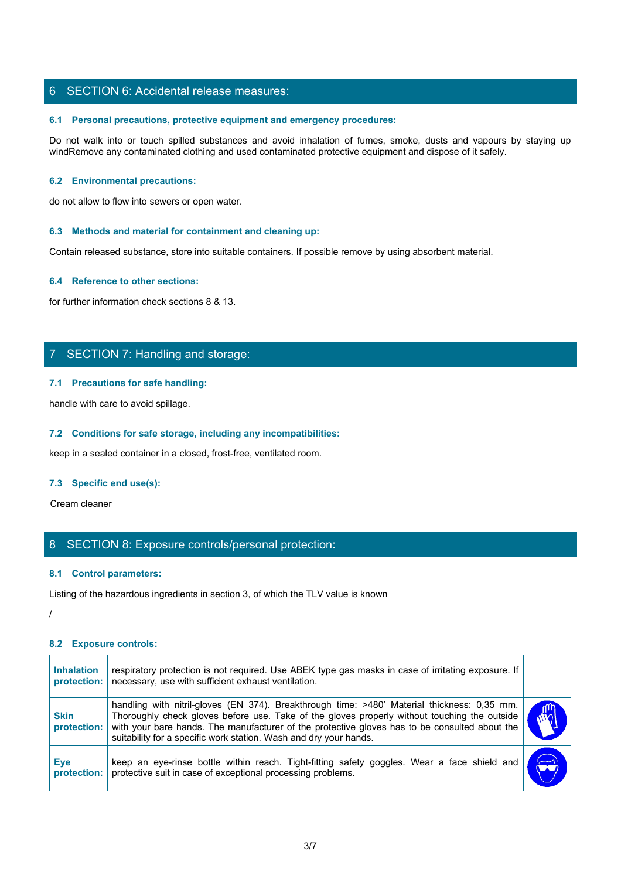## 6 SECTION 6: Accidental release measures:

## **6.1 Personal precautions, protective equipment and emergency procedures:**

SECTION 6: Accidental release measures:<br>
6.1 Personal precautions, protective equipment and emergency procedures:<br>
Do not walk into or touch spilled substances and avoid inhalation of fumes, smoke, dusts and vapours by sta windRemove any contaminated clothing and used contaminated protective equipment and dispose of it safely.

#### **6.2 Environmental precautions:**

do not allow to flow into sewers or open water.

#### **6.3 Methods and material for containment and cleaning up:**

Contain released substance, store into suitable containers. If possible remove by using absorbent material.

## **6.4 Reference to other sections:**

for further information check sections 8 & 13.

## 7 SECTION 7: Handling and storage:

## **7.1 Precautions for safe handling:**

## **7.2 Conditions for safe storage, including any incompatibilities:**

#### **7.3 Specific end use(s):**

## 8 SECTION 8: Exposure controls/personal protection:

#### **8.1 Control parameters:**

#### /

## **8.2 Exposure controls:**

|                                  | $\mathcal{L}$ . Precaduons for sale nanding.                                                                                                                                                                                                                                                                                                                      |  |
|----------------------------------|-------------------------------------------------------------------------------------------------------------------------------------------------------------------------------------------------------------------------------------------------------------------------------------------------------------------------------------------------------------------|--|
|                                  | handle with care to avoid spillage.                                                                                                                                                                                                                                                                                                                               |  |
|                                  | 7.2 Conditions for safe storage, including any incompatibilities:                                                                                                                                                                                                                                                                                                 |  |
|                                  | keep in a sealed container in a closed, frost-free, ventilated room.                                                                                                                                                                                                                                                                                              |  |
| 7.3 Specific end use(s):         |                                                                                                                                                                                                                                                                                                                                                                   |  |
| Cream cleaner                    |                                                                                                                                                                                                                                                                                                                                                                   |  |
|                                  | 8 SECTION 8: Exposure controls/personal protection:                                                                                                                                                                                                                                                                                                               |  |
| 8.1 Control parameters:          |                                                                                                                                                                                                                                                                                                                                                                   |  |
|                                  | Listing of the hazardous ingredients in section 3, of which the TLV value is known                                                                                                                                                                                                                                                                                |  |
|                                  |                                                                                                                                                                                                                                                                                                                                                                   |  |
| 8.2 Exposure controls:           |                                                                                                                                                                                                                                                                                                                                                                   |  |
| <b>Inhalation</b><br>protection: | respiratory protection is not required. Use ABEK type gas masks in case of irritating exposure. If<br>necessary, use with sufficient exhaust ventilation.                                                                                                                                                                                                         |  |
| <b>Skin</b><br>protection:       | handling with nitril-gloves (EN 374). Breakthrough time: >480' Material thickness: 0,35 mm.<br>Thoroughly check gloves before use. Take of the gloves properly without touching the outside<br>with your bare hands. The manufacturer of the protective gloves has to be consulted about the<br>suitability for a specific work station. Wash and dry your hands. |  |
| <b>Eye</b><br>protection:        | keep an eye-rinse bottle within reach. Tight-fitting safety goggles. Wear a face shield and<br>protective suit in case of exceptional processing problems.                                                                                                                                                                                                        |  |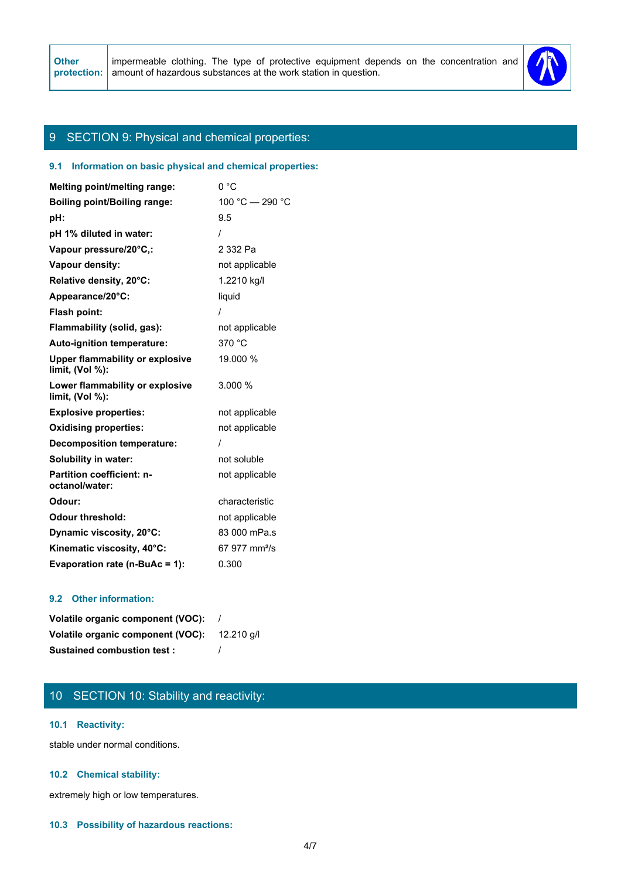

## 9 SECTION 9: Physical and chemical properties:

## **9.1 Information on basic physical and chemical properties:**

| Melting point/melting range:                              | 0 °C                      |
|-----------------------------------------------------------|---------------------------|
| <b>Boiling point/Boiling range:</b>                       | 100 °C - 290 °C           |
| pH:                                                       | 9.5                       |
| pH 1% diluted in water:                                   |                           |
| Vapour pressure/20°C,:                                    | 2 332 Pa                  |
| Vapour density:                                           | not applicable            |
| Relative density, 20°C:                                   | 1.2210 kg/l               |
| Appearance/20°C:                                          | liquid                    |
| Flash point:                                              |                           |
| Flammability (solid, gas):                                | not applicable            |
| Auto-ignition temperature:                                | 370 °C                    |
| <b>Upper flammability or explosive</b><br>limit, (Vol %): | 19.000 %                  |
| Lower flammability or explosive<br>limit, (Vol %):        | 3.000 %                   |
| <b>Explosive properties:</b>                              | not applicable            |
| <b>Oxidising properties:</b>                              | not applicable            |
| <b>Decomposition temperature:</b>                         |                           |
| Solubility in water:                                      | not soluble               |
| <b>Partition coefficient: n-</b><br>octanol/water:        | not applicable            |
| Odour:                                                    | characteristic            |
| <b>Odour threshold:</b>                                   | not applicable            |
| Dynamic viscosity, 20°C:                                  | 83 000 mPa.s              |
| Kinematic viscosity, 40°C:                                | 67 977 mm <sup>2</sup> /s |
| Evaporation rate (n-BuAc = 1):                            | 0.300                     |

### **9.2 Other information:**

| Volatile organic component (VOC):                   |  |
|-----------------------------------------------------|--|
| <b>Volatile organic component (VOC):</b> 12.210 g/l |  |
| <b>Sustained combustion test:</b>                   |  |

# 10 SECTION 10: Stability and reactivity:

## **10.1 Reactivity:**

stable under normal conditions.

## **10.2 Chemical stability:**

extremely high or low temperatures.

## **10.3 Possibility of hazardous reactions:**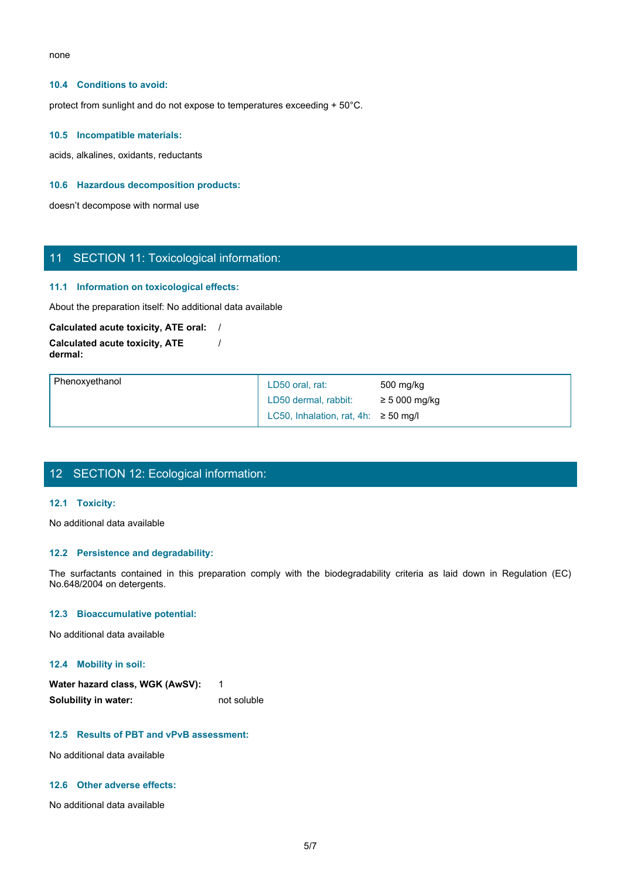none and the state of the state of the state of the state of the state of the state of the state of the state of the state of the state of the state of the state of the state of the state of the state of the state of the s

#### **10.4 Conditions to avoid:**

protect from sunlight and do not expose to temperatures exceeding + 50°C.

#### **10.5 Incompatible materials:**

acids, alkalines, oxidants, reductants

## **10.6 Hazardous decomposition products:**

doesn't decompose with normal use

## 11 SECTION 11: Toxicological information:

#### **11.1 Information on toxicological effects:**

# **Calculated acute toxicity, ATE oral:** /

| 11 SECTION 11: Toxicological information:                  |                                                                                                                         |
|------------------------------------------------------------|-------------------------------------------------------------------------------------------------------------------------|
| 11.1 Information on toxicological effects:                 |                                                                                                                         |
| About the preparation itself: No additional data available |                                                                                                                         |
| Calculated acute toxicity, ATE oral: /                     |                                                                                                                         |
| <b>Calculated acute toxicity, ATE</b><br>dermal:           |                                                                                                                         |
| Phenoxyethanol                                             | LD50 oral, rat:<br>500 mg/kg                                                                                            |
|                                                            | LD50 dermal, rabbit:<br>$\geq$ 5 000 mg/kg                                                                              |
|                                                            | LC50, Inhalation, rat, 4h: $\geq$ 50 mg/l                                                                               |
| 12 SECTION 12: Ecological information:<br>12.1 Toxicity:   |                                                                                                                         |
|                                                            |                                                                                                                         |
| No additional data available                               |                                                                                                                         |
| 12.2 Persistence and degradability:                        |                                                                                                                         |
| No.648/2004 on detergents.                                 | The surfactants contained in this preparation comply with the biodegradability criteria as laid down in Regulation (EC) |
| 12.3 Bioaccumulative potential:                            |                                                                                                                         |
| No additional data available                               |                                                                                                                         |
|                                                            |                                                                                                                         |

# 12 SECTION 12: Ecological information:

## **12.1 Toxicity:**

## **12.2 Persistence and degradability:**

#### **12.3 Bioaccumulative potential:**

#### **12.4 Mobility in soil:**

| Water hazard class, WGK (AwSV): |             |
|---------------------------------|-------------|
| Solubility in water:            | not soluble |

#### **12.5 Results of PBT and vPvB assessment:**

No additional data available

### **12.6 Other adverse effects:**

No additional data available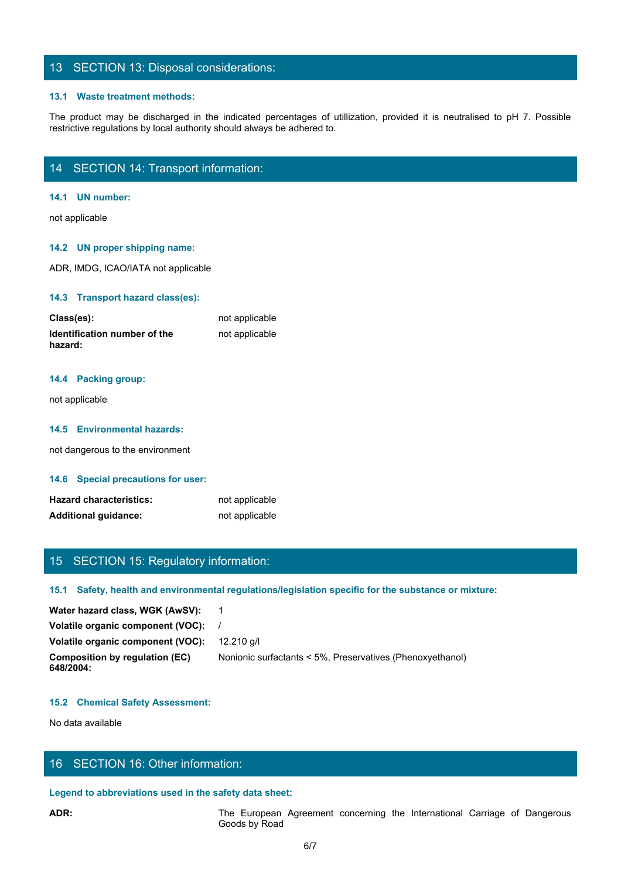## 13 SECTION 13: Disposal considerations:

#### **13.1 Waste treatment methods:**

The product may be discharged in the indicated percentages of utillization, provided it is neutralised to pH 7. Possible restrictive regulations by local authority should always be adhered to.<br>The product may be discharged restrictive regulations by local authority should always be adhered to.

## 14 SECTION 14: Transport information:

### **14.1 UN number:**

not applicable

## **14.2 UN proper shipping name:**

ADR, IMDG, ICAO/IATA not applicable

#### **14.3 Transport hazard class(es):**

| Class(es):                              | not applicable |
|-----------------------------------------|----------------|
| Identification number of the<br>hazard: | not applicable |

## **14.4 Packing group:**

not applicable

#### **14.5 Environmental hazards:**

not dangerous to the environment

#### **14.6 Special precautions for user:**

| <b>Hazard characteristics:</b> | not applicable |
|--------------------------------|----------------|
| <b>Additional guidance:</b>    | not applicable |

## 15 SECTION 15: Regulatory information:

## **15.1 Safety, health and environmental regulations/legislation specific for the substance or mixture:**

| <b>Hazard characteristics:</b>                         | not applicable                                                                                       |
|--------------------------------------------------------|------------------------------------------------------------------------------------------------------|
| <b>Additional guidance:</b>                            | not applicable                                                                                       |
|                                                        |                                                                                                      |
|                                                        |                                                                                                      |
| 15 SECTION 15: Regulatory information:                 |                                                                                                      |
|                                                        | 15.1 Safety, health and environmental regulations/legislation specific for the substance or mixture: |
| Water hazard class, WGK (AwSV):                        | $\overline{\phantom{1}}$                                                                             |
| Volatile organic component (VOC):                      |                                                                                                      |
| Volatile organic component (VOC):                      | 12.210 g/l                                                                                           |
| <b>Composition by regulation (EC)</b><br>648/2004:     | Nonionic surfactants < 5%, Preservatives (Phenoxyethanol)                                            |
| <b>15.2 Chemical Safety Assessment:</b>                |                                                                                                      |
| No data available                                      |                                                                                                      |
|                                                        |                                                                                                      |
| 16 SECTION 16: Other information:                      |                                                                                                      |
| Legend to abbreviations used in the safety data sheet: |                                                                                                      |
| ADR:                                                   | The European Agreement concerning the International Carriage of Dangerous<br>Goods by Road           |
|                                                        | 6/7                                                                                                  |
|                                                        |                                                                                                      |
|                                                        |                                                                                                      |

## **15.2 Chemical Safety Assessment:**

## 16 SECTION 16: Other information:

## **Legend to abbreviations used in the safety data sheet:**